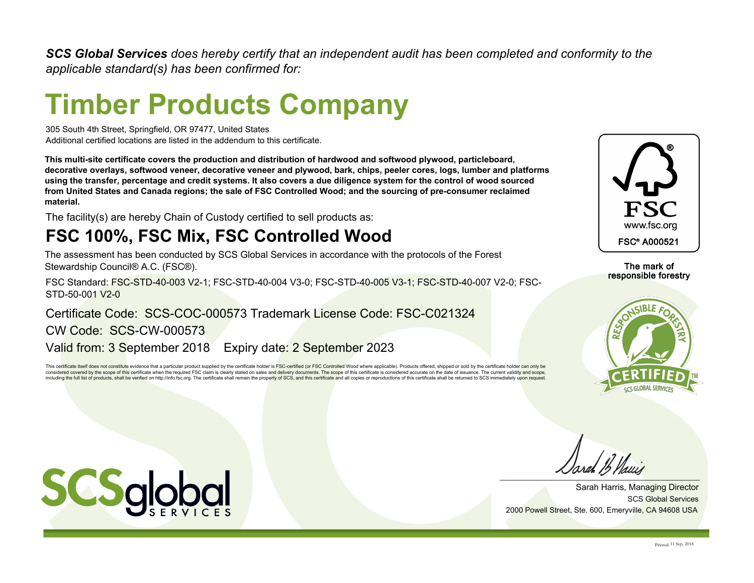*SCS Global Services does hereby certify that an independent audit has been completed and conformity to the applicable standard(s) has been confirmed for:*

# **Timber Products Company**

305 South 4th Street, Springfield, OR 97477, United States Additional certified locations are listed in the addendum to this certificate.

**This multi-site certificate covers the production and distribution of hardwood and softwood plywood, particleboard, decorative overlays, softwood veneer, decorative veneer and plywood, bark, chips, peeler cores, logs, lumber and platforms using the transfer, percentage and credit systems. It also covers a due diligence system for the control of wood sourced from United States and Canada regions; the sale of FSC Controlled Wood; and the sourcing of pre-consumer reclaimed material.**

The facility(s) are hereby Chain of Custody certified to sell products as:

## **FSC 100%, FSC Mix, FSC Controlled Wood**

The assessment has been conducted by SCS Global Services in accordance with the protocols of the Forest Stewardship Council® A.C. (FSC®).

FSC Standard: FSC-STD-40-003 V2-1; FSC-STD-40-004 V3-0; FSC-STD-40-005 V3-1; FSC-STD-40-007 V2-0; FSC-STD-50-001 V2-0

Valid from: 3 September 2018 Expiry date: 2 September 2023 CW Code: SCS-CW-000573 Certificate Code: SCS-COC-000573 Trademark License Code: FSC-C021324

This certificate itself does not constitute evidence that a particular product supplied by the certificate holder is FSC-certified (or FSC Controlled Wood where applicable). Products offered, shipped or sold by the certifi considered covered by the scope of this certificate when the required FSC claim is clearly stated on sales and delivery documents. The scope of this certificate is considered accurate on the date of issuance. The current v including the full list of products, shall be verified on http://info.fsc.org. The certificate shall remain the property of SCS, and this certificate and all copies or reproductions of this certificate shall be returned to



The mark of responsible forestry



SCS Global Services Sarah Harris, Managing Director 2000 Powell Street, Ste. 600, Emeryville, CA 94608 USA